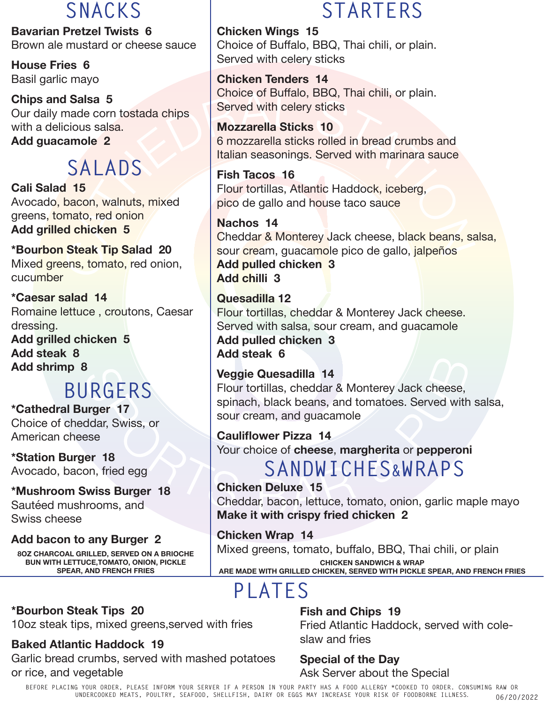**Bavarian Pretzel Twists 6** Brown ale mustard or cheese sauce

**House Fries 6** Basil garlic mayo

**Chips and Salsa 5** Our daily made corn tostada chips with a delicious salsa. **Add guacamole 2**

# **SALADS**

**Cali Salad 15** Avocado, bacon, walnuts, mixed greens, tomato, red onion **Add grilled chicken 5**

**\*Bourbon Steak Tip Salad 20** Mixed greens, tomato, red onion, cucumber

**\*Caesar salad 14** Romaine lettuce , croutons, Caesar dressing.

**Add grilled chicken 5 Add steak 8 Add shrimp 8**

# **BURGERS**

**\*Cathedral Burger 17** Choice of cheddar, Swiss, or American cheese

**\*Station Burger 18** Avocado, bacon, fried egg

**\*Mushroom Swiss Burger 18** Sautéed mushrooms, and Swiss cheese

**Add bacon to any Burger 2**

**8OZ CHARCOAL GRILLED, SERVED ON A BRIOCHE BUN WITH LETTUCE,TOMATO, ONION, PICKLE SPEAR, AND FRENCH FRIES**

#### **\*Bourbon Steak Tips 20** 10oz steak tips, mixed greens,served with fries

## **Baked Atlantic Haddock 19**

Garlic bread crumbs, served with mashed potatoes or rice, and vegetable

## **SNACKS STARTERS**

**Chicken Wings 15**  Choice of Buffalo, BBQ, Thai chili, or plain. Served with celery sticks

**Chicken Tenders 14** Choice of Buffalo, BBQ, Thai chili, or plain. Served with celery sticks

**Mozzarella Sticks 10** 6 mozzarella sticks rolled in bread crumbs and Italian seasonings. Served with marinara sauce

**Fish Tacos 16** Flour tortillas, Atlantic Haddock, iceberg, pico de gallo and house taco sauce

ISSISSED Salsa S<br>
Trade corn tostada chips<br>
Cious salsa.<br>
Mozzarella Sticks 10<br>
6 mozzarella sticks rolled in bread crumbs and<br>
CALADS<br>
ISSED Fish Tacos 16<br>
Fig. Tacos 16<br>
Fig. Tacos 16<br>
Fig. Tacos 16<br>
Fig. Tacos 16<br>
Fig. **Nachos 14** Cheddar & Monterey Jack cheese, black beans, salsa, sour cream, guacamole pico de gallo, jalpeños **Add pulled chicken 3 Add chilli 3** 

> **Quesadilla 12** Flour tortillas, cheddar & Monterey Jack cheese. Served with salsa, sour cream, and guacamole **Add pulled chicken 3 Add steak 6**

### **Veggie Quesadilla 14**

Flour tortillas, cheddar & Monterey Jack cheese, spinach, black beans, and tomatoes. Served with salsa, sour cream, and guacamole

**Cauliflower Pizza 14** Your choice of **cheese**, **margherita** or **pepperoni**

**SANDWICHES&WRAPS**

**Chicken Deluxe 15** Cheddar, bacon, lettuce, tomato, onion, garlic maple mayo **Make it with crispy fried chicken 2**

**Chicken Wrap 14** Mixed greens, tomato, buffalo, BBQ, Thai chili, or plain **CHICKEN SANDWICH & WRAP ARE MADE WITH GRILLED CHICKEN, SERVED WITH PICKLE SPEAR, AND FRENCH FRIES**

# **PLATES**

**Fish and Chips 19** Fried Atlantic Haddock, served with coleslaw and fries

#### **Special of the Day** Ask Server about the Special

**BEFORE PLACING YOUR ORDER, PLEASE INFORM YOUR SERVER IF A PERSON IN YOUR PARTY HAS A FOOD ALLERGY \*COOKED TO ORDER. CONSUMING RAW OR UNDERCOOKED MEATS, POULTRY, SEAFOOD, SHELLFISH, DAIRY OR EGGS MAY INCREASE YOUR RISK OF FOODBORNE ILLNESS**. **06/20/2022**